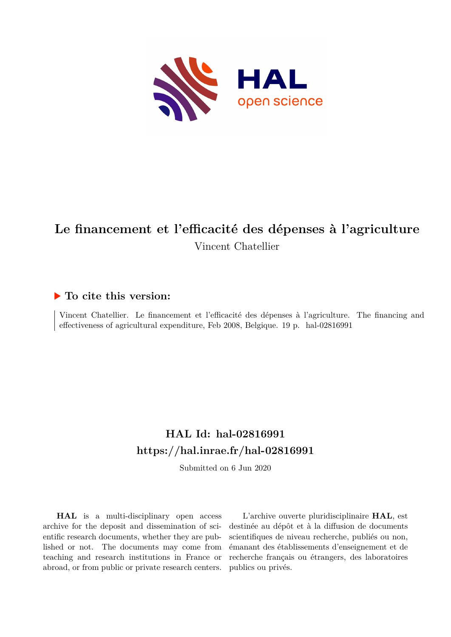

# **Le financement et l'efficacité des dépenses à l'agriculture** Vincent Chatellier

## **To cite this version:**

Vincent Chatellier. Le financement et l'efficacité des dépenses à l'agriculture. The financing and effectiveness of agricultural expenditure, Feb 2008, Belgique. 19 p. hal-02816991

# **HAL Id: hal-02816991 <https://hal.inrae.fr/hal-02816991>**

Submitted on 6 Jun 2020

**HAL** is a multi-disciplinary open access archive for the deposit and dissemination of scientific research documents, whether they are published or not. The documents may come from teaching and research institutions in France or abroad, or from public or private research centers.

L'archive ouverte pluridisciplinaire **HAL**, est destinée au dépôt et à la diffusion de documents scientifiques de niveau recherche, publiés ou non, émanant des établissements d'enseignement et de recherche français ou étrangers, des laboratoires publics ou privés.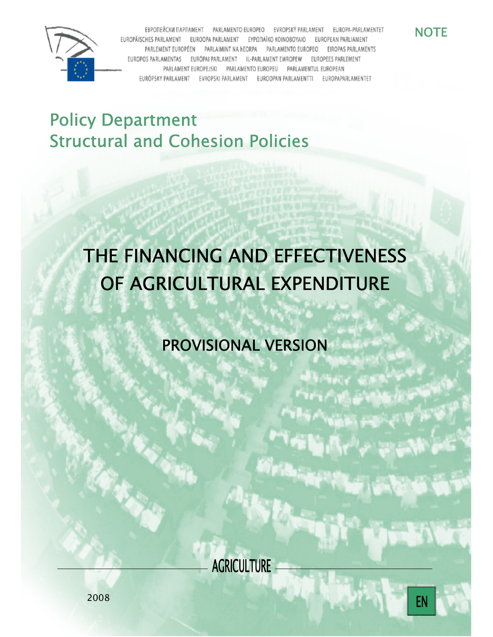

ЕВРОПЕЙСКИ ПАРЛАМЕНТ PARLAMENTO EUROPEO EVROPSKÝ PARLAMENT EUROPA-PARLAMENTET EUROPÄISCHES PARLAMENT ΕΥΡΩΠΑΪΚΟ ΚΟΙΝΟΒΟΥΛΙΟ **FUROOPA PARLAMENT FUROPEAN PARLIAMENT** EIROPAS PARLAMENTS PARLEMENT EUROPÉEN PARLAMENTO EUROPEO PARLAIMINT NA HEORPA EUROPOS PA AMENTAS AMENT IL-PARLAMENT EWROPEW EUROPEES PARLEMENT PARLAMENTO EUROPEU PARLAMENT EUROPEJSKI PARLAMENTUL EUROPEAN EURÓPSKY PARLAMENT EVROPSKI PARLAMENT EUROOPAN PARLAMENTTI EUROPAPARLAMENTET

**NOTE** 

# Policy Department Structural and Cohesion Policies

# THE FINANCING AND EFFECTIVENESS OF AGRICULTURAL EXPENDITURE

PROVISIONAL VERSION

**AGRICULTURE** 

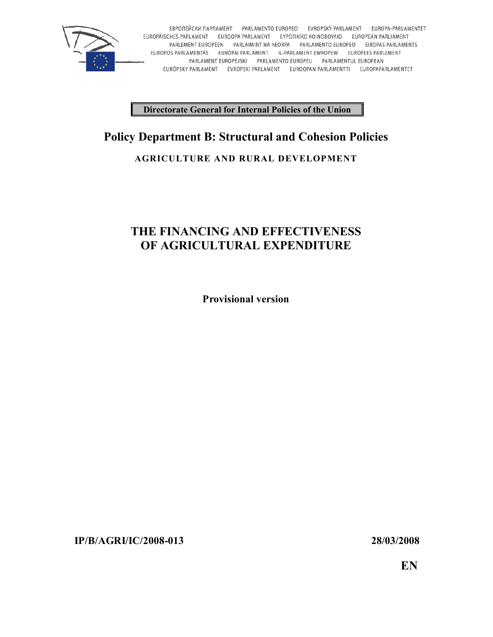

EBPOΠΕЙCKИ ΠΑΡЛΑΜΕΗΤ PARLAMENTO EUROPEO EVROPSKÝ PARLAMENT EUROPA-PARLAMENTET<br>ΕUROPÄISCHES PARLAMENT EUROOPA PARLAMENT EΥΡΩΠΑΪΚΟ ΚΟΙΝΟΒΟΥΛΙΟ EUROPEAN PARLIAMENT PARLEMENT EUROPÉEN PARLAIMINT NA HEORPA PARLAMENTO EUROPEO EIROPAS PARLAMENTS EUROPOS PARLAMENTAS EURÓPAI PARLAMENT IL-PARLAMENT EWROPEW EUROPEES PARLEMENT PARLAMENT EUROPEJSKI PARLAMENTO EUROPEU PARLAMENTUL EUROPEAN EURÓPSKY PARLAMENT EVROPSKI PARLAMENT EUROOPAN PARLAMENTTI EUROPAPARLAMENTET

**Directorate General for Internal Policies of the Union**

# **Policy Department B: Structural and Cohesion Policies**

#### **AGRICULTURE AND RURAL DEVELOPMENT**

## **THE FINANCING AND EFFECTIVENESS OF AGRICULTURAL EXPENDITURE**

**Provisional version**

**IP/B/AGRI/IC/2008-013 28/03/2008**

**EN**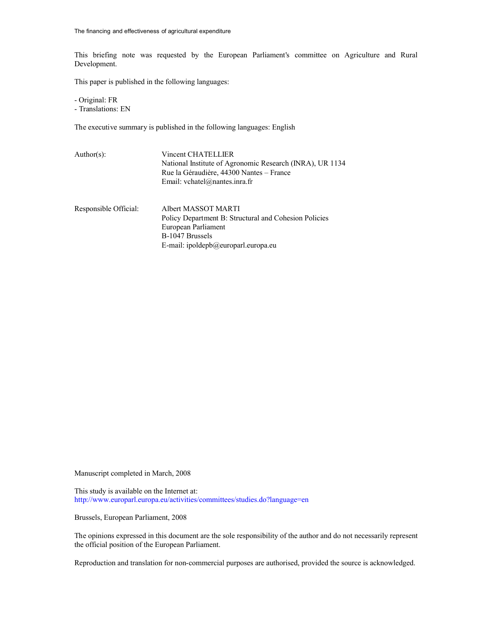This briefing note was requested by the European Parliament's committee on Agriculture and Rural Development.

This paper is published in the following languages:

- Original: FR - Translations: EN

The executive summary is published in the following languages: English

B-1047 Brussels

| $Author(s)$ :         | Vincent CHATELLIER                                       |  |  |  |  |  |
|-----------------------|----------------------------------------------------------|--|--|--|--|--|
|                       | National Institute of Agronomic Research (INRA), UR 1134 |  |  |  |  |  |
|                       | Rue la Géraudière, 44300 Nantes – France                 |  |  |  |  |  |
|                       | Email: vchatel@nantes.inra.fr                            |  |  |  |  |  |
|                       |                                                          |  |  |  |  |  |
| Responsible Official: | Albert MASSOT MARTI                                      |  |  |  |  |  |
|                       | Policy Department B: Structural and Cohesion Policies    |  |  |  |  |  |
|                       | European Parliament                                      |  |  |  |  |  |

E-mail: ipoldepb@europarl.europa.eu

Manuscript completed in March, 2008

This study is available on the Internet at: http://www.europarl.europa.eu/activities/committees/studies.do?language=en

Brussels, European Parliament, 2008

The opinions expressed in this document are the sole responsibility of the author and do not necessarily represent the official position of the European Parliament.

Reproduction and translation for non-commercial purposes are authorised, provided the source is acknowledged.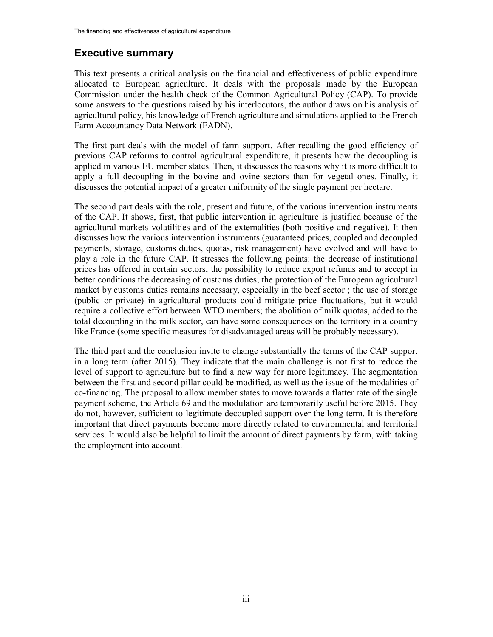### **Executive summary**

This text presents a critical analysis on the financial and effectiveness of public expenditure allocated to European agriculture. It deals with the proposals made by the European Commission under the health check of the Common Agricultural Policy (CAP). To provide some answers to the questions raised by his interlocutors, the author draws on his analysis of agricultural policy, his knowledge of French agriculture and simulations applied to the French Farm Accountancy Data Network (FADN).

The first part deals with the model of farm support. After recalling the good efficiency of previous CAP reforms to control agricultural expenditure, it presents how the decoupling is applied in various EU member states. Then, it discusses the reasons why it is more difficult to apply a full decoupling in the bovine and ovine sectors than for vegetal ones. Finally, it discusses the potential impact of a greater uniformity of the single payment per hectare.

The second part deals with the role, present and future, of the various intervention instruments of the CAP. It shows, first, that public intervention in agriculture is justified because of the agricultural markets volatilities and of the externalities (both positive and negative). It then discusses how the various intervention instruments (guaranteed prices, coupled and decoupled payments, storage, customs duties, quotas, risk management) have evolved and will have to play a role in the future CAP. It stresses the following points: the decrease of institutional prices has offered in certain sectors, the possibility to reduce export refunds and to accept in better conditions the decreasing of customs duties; the protection of the European agricultural market by customs duties remains necessary, especially in the beef sector ; the use of storage (public or private) in agricultural products could mitigate price fluctuations, but it would require a collective effort between WTO members; the abolition of milk quotas, added to the total decoupling in the milk sector, can have some consequences on the territory in a country like France (some specific measures for disadvantaged areas will be probably necessary).

The third part and the conclusion invite to change substantially the terms of the CAP support in a long term (after 2015). They indicate that the main challenge is not first to reduce the level of support to agriculture but to find a new way for more legitimacy. The segmentation between the first and second pillar could be modified, as well as the issue of the modalities of co-financing. The proposal to allow member states to move towards a flatter rate of the single payment scheme, the Article 69 and the modulation are temporarily useful before 2015. They do not, however, sufficient to legitimate decoupled support over the long term. It is therefore important that direct payments become more directly related to environmental and territorial services. It would also be helpful to limit the amount of direct payments by farm, with taking the employment into account.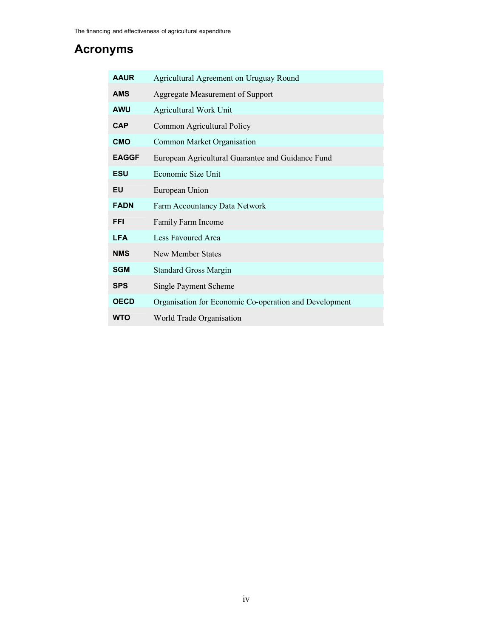# **Acronyms**

| <b>AAUR</b>  | Agricultural Agreement on Uruguay Round                |
|--------------|--------------------------------------------------------|
| <b>AMS</b>   | Aggregate Measurement of Support                       |
| <b>AWU</b>   | Agricultural Work Unit                                 |
| <b>CAP</b>   | Common Agricultural Policy                             |
| <b>CMO</b>   | Common Market Organisation                             |
| <b>EAGGF</b> | European Agricultural Guarantee and Guidance Fund      |
| <b>ESU</b>   | Economic Size Unit                                     |
| EU           | European Union                                         |
| <b>FADN</b>  | Farm Accountancy Data Network                          |
| <b>FFI</b>   | Family Farm Income                                     |
| <b>LFA</b>   | <b>Less Favoured Area</b>                              |
| <b>NMS</b>   | New Member States                                      |
| <b>SGM</b>   | <b>Standard Gross Margin</b>                           |
| <b>SPS</b>   | Single Payment Scheme                                  |
| <b>OECD</b>  | Organisation for Economic Co-operation and Development |
| <b>WTO</b>   | World Trade Organisation                               |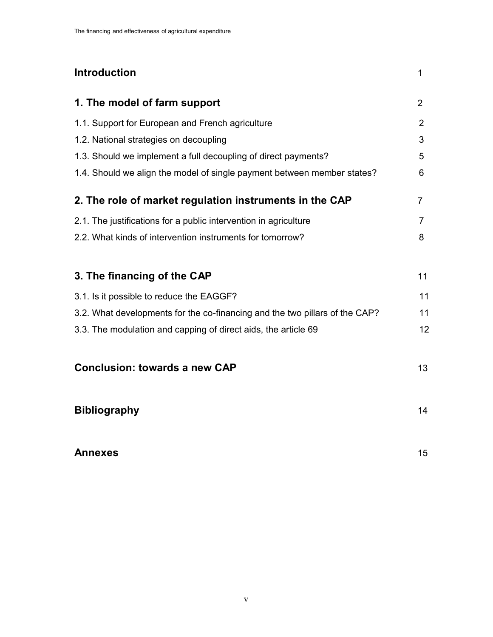# **Introduction** 1 **1. The model of farm support** 2 1.1. Support for European and French agriculture 2 1.2. National strategies on decoupling 3 1.3. Should we implement a full decoupling of direct payments? 5 1.4. Should we align the model of single payment between member states? 6 **2. The role of market regulation instruments in the CAP** 7 2.1. The justifications for a public intervention in agriculture 7 2.2. What kinds of intervention instruments for tomorrow? 8 **3. The financing of the CAP** 11 3.1. Is it possible to reduce the EAGGF? 11 3.2. What developments for the co-financing and the two pillars of the CAP? 11 3.3. The modulation and capping of direct aids, the article 69 12 **Conclusion: towards a new CAP** 13 **Bibliography** 14 **Annexes** 15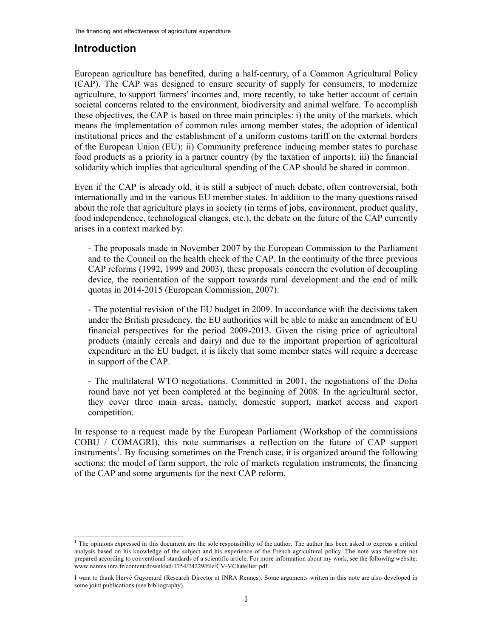## **Introduction**

l

European agriculture has benefited, during a half-century, of a Common Agricultural Policy (CAP). The CAP was designed to ensure security of supply for consumers, to modernize agriculture, to support farmers' incomes and, more recently, to take better account of certain societal concerns related to the environment, biodiversity and animal welfare. To accomplish these objectives, the CAP is based on three main principles: i) the unity of the markets, which means the implementation of common rules among member states, the adoption of identical institutional prices and the establishment of a uniform customs tariff on the external borders of the European Union (EU); ii) Community preference inducing member states to purchase food products as a priority in a partner country (by the taxation of imports); iii) the financial solidarity which implies that agricultural spending of the CAP should be shared in common.

Even if the CAP is already old, it is still a subject of much debate, often controversial, both internationally and in the various EU member states. In addition to the many questions raised about the role that agriculture plays in society (in terms of jobs, environment, product quality, food independence, technological changes, etc.), the debate on the future of the CAP currently arises in a context marked by:

- The proposals made in November 2007 by the European Commission to the Parliament and to the Council on the health check of the CAP. In the continuity of the three previous CAP reforms (1992, 1999 and 2003), these proposals concern the evolution of decoupling device, the reorientation of the support towards rural development and the end of milk quotas in 2014-2015 (European Commission, 2007).

- The potential revision of the EU budget in 2009. In accordance with the decisions taken under the British presidency, the EU authorities will be able to make an amendment of EU financial perspectives for the period 2009-2013. Given the rising price of agricultural products (mainly cereals and dairy) and due to the important proportion of agricultural expenditure in the EU budget, it is likely that some member states will require a decrease in support of the CAP.

- The multilateral WTO negotiations. Committed in 2001, the negotiations of the Doha round have not yet been completed at the beginning of 2008. In the agricultural sector, they cover three main areas, namely, domestic support, market access and export competition.

In response to a request made by the European Parliament (Workshop of the commissions COBU / COMAGRI), this note summarises a reflection on the future of CAP support instruments<sup>1</sup>. By focusing sometimes on the French case, it is organized around the following sections: the model of farm support, the role of markets regulation instruments, the financing of the CAP and some arguments for the next CAP reform.

 $<sup>1</sup>$  The opinions expressed in this document are the sole responsibility of the author. The author has been asked to express a critical</sup> analysis based on his knowledge of the subject and his experience of the French agricultural policy. The note was therefore not prepared according to conventional standards of a scientific article. For more information about my work, see the following website: www.nantes.inra.fr/content/download/1754/24229/file/CV-VChatellier.pdf.

I want to thank Hervé Guyomard (Research Director at INRA Rennes). Some arguments written in this note are also developed in some joint publications (see bibliography).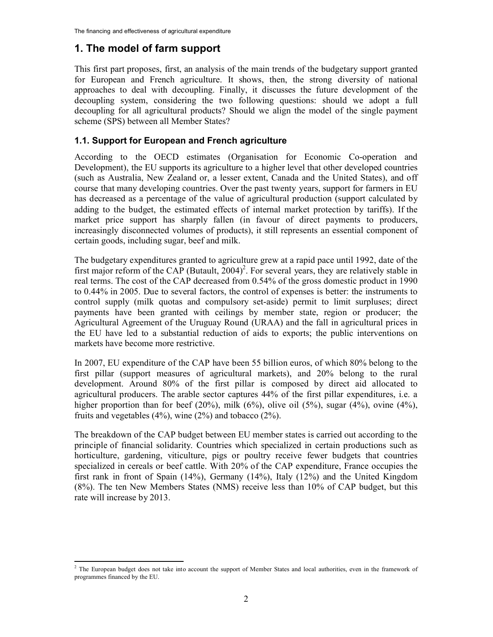### **1. The model of farm support**

This first part proposes, first, an analysis of the main trends of the budgetary support granted for European and French agriculture. It shows, then, the strong diversity of national approaches to deal with decoupling. Finally, it discusses the future development of the decoupling system, considering the two following questions: should we adopt a full decoupling for all agricultural products? Should we align the model of the single payment scheme (SPS) between all Member States?

#### **1.1. Support for European and French agriculture**

According to the OECD estimates (Organisation for Economic Co-operation and Development), the EU supports its agriculture to a higher level that other developed countries (such as Australia, New Zealand or, a lesser extent, Canada and the United States), and off course that many developing countries. Over the past twenty years, support for farmers in EU has decreased as a percentage of the value of agricultural production (support calculated by adding to the budget, the estimated effects of internal market protection by tariffs). If the market price support has sharply fallen (in favour of direct payments to producers, increasingly disconnected volumes of products), it still represents an essential component of certain goods, including sugar, beef and milk.

The budgetary expenditures granted to agriculture grew at a rapid pace until 1992, date of the first major reform of the CAP (Butault,  $2004$ )<sup>2</sup>. For several years, they are relatively stable in real terms. The cost of the CAP decreased from 0.54% of the gross domestic product in 1990 to 0.44% in 2005. Due to several factors, the control of expenses is better: the instruments to control supply (milk quotas and compulsory set-aside) permit to limit surpluses; direct payments have been granted with ceilings by member state, region or producer; the Agricultural Agreement of the Uruguay Round (URAA) and the fall in agricultural prices in the EU have led to a substantial reduction of aids to exports; the public interventions on markets have become more restrictive.

In 2007, EU expenditure of the CAP have been 55 billion euros, of which 80% belong to the first pillar (support measures of agricultural markets), and 20% belong to the rural development. Around 80% of the first pillar is composed by direct aid allocated to agricultural producers. The arable sector captures 44% of the first pillar expenditures, i.e. a higher proportion than for beef  $(20\%)$ , milk  $(6\%)$ , olive oil  $(5\%)$ , sugar  $(4\%)$ , ovine  $(4\%)$ , fruits and vegetables  $(4\%)$ , wine  $(2\%)$  and tobacco  $(2\%)$ .

The breakdown of the CAP budget between EU member states is carried out according to the principle of financial solidarity. Countries which specialized in certain productions such as horticulture, gardening, viticulture, pigs or poultry receive fewer budgets that countries specialized in cereals or beef cattle. With 20% of the CAP expenditure, France occupies the first rank in front of Spain (14%), Germany (14%), Italy (12%) and the United Kingdom (8%). The ten New Members States (NMS) receive less than 10% of CAP budget, but this rate will increase by 2013.

<sup>&</sup>lt;sup>2</sup> The European budget does not take into account the support of Member States and local authorities, even in the framework of programmes financed by the EU.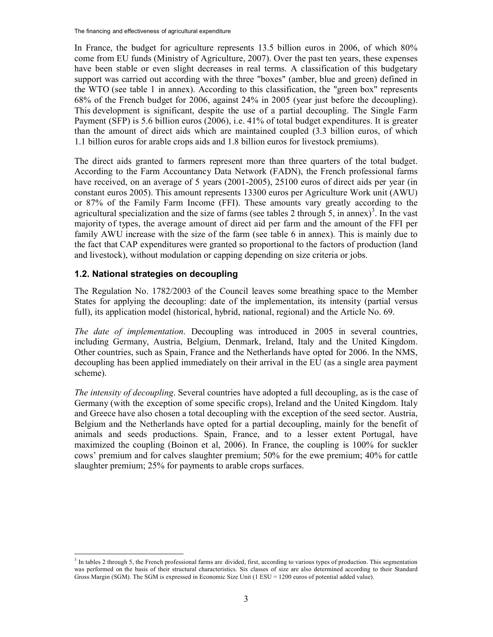In France, the budget for agriculture represents 13.5 billion euros in 2006, of which 80% come from EU funds (Ministry of Agriculture, 2007). Over the past ten years, these expenses have been stable or even slight decreases in real terms. A classification of this budgetary support was carried out according with the three "boxes" (amber, blue and green) defined in the WTO (see table 1 in annex). According to this classification, the "green box" represents 68% of the French budget for 2006, against 24% in 2005 (year just before the decoupling). This development is significant, despite the use of a partial decoupling. The Single Farm Payment (SFP) is 5.6 billion euros (2006), i.e. 41% of total budget expenditures. It is greater than the amount of direct aids which are maintained coupled (3.3 billion euros, of which 1.1 billion euros for arable crops aids and 1.8 billion euros for livestock premiums).

The direct aids granted to farmers represent more than three quarters of the total budget. According to the Farm Accountancy Data Network (FADN), the French professional farms have received, on an average of 5 years (2001-2005), 25100 euros of direct aids per year (in constant euros 2005). This amount represents 13300 euros per Agriculture Work unit (AWU) or 87% of the Family Farm Income (FFI). These amounts vary greatly according to the agricultural specialization and the size of farms (see tables 2 through 5, in annex)<sup>3</sup>. In the vast majority of types, the average amount of direct aid per farm and the amount of the FFI per family AWU increase with the size of the farm (see table 6 in annex). This is mainly due to the fact that CAP expenditures were granted so proportional to the factors of production (land and livestock), without modulation or capping depending on size criteria or jobs.

#### **1.2. National strategies on decoupling**

 $\overline{a}$ 

The Regulation No. 1782/2003 of the Council leaves some breathing space to the Member States for applying the decoupling: date of the implementation, its intensity (partial versus full), its application model (historical, hybrid, national, regional) and the Article No. 69.

*The date of implementation*. Decoupling was introduced in 2005 in several countries, including Germany, Austria, Belgium, Denmark, Ireland, Italy and the United Kingdom. Other countries, such as Spain, France and the Netherlands have opted for 2006. In the NMS, decoupling has been applied immediately on their arrival in the EU (as a single area payment scheme).

*The intensity of decoupling*. Several countries have adopted a full decoupling, as is the case of Germany (with the exception of some specific crops), Ireland and the United Kingdom. Italy and Greece have also chosen a total decoupling with the exception of the seed sector. Austria, Belgium and the Netherlands have opted for a partial decoupling, mainly for the benefit of animals and seeds productions. Spain, France, and to a lesser extent Portugal, have maximized the coupling (Boinon et al, 2006). In France, the coupling is 100% for suckler cows' premium and for calves slaughter premium; 50% for the ewe premium; 40% for cattle slaughter premium; 25% for payments to arable crops surfaces.

<sup>&</sup>lt;sup>3</sup> In tables 2 through 5, the French professional farms are divided, first, according to various types of production. This segmentation was performed on the basis of their structural characteristics. Six classes of size are also determined according to their Standard Gross Margin (SGM). The SGM is expressed in Economic Size Unit (1 ESU = 1200 euros of potential added value).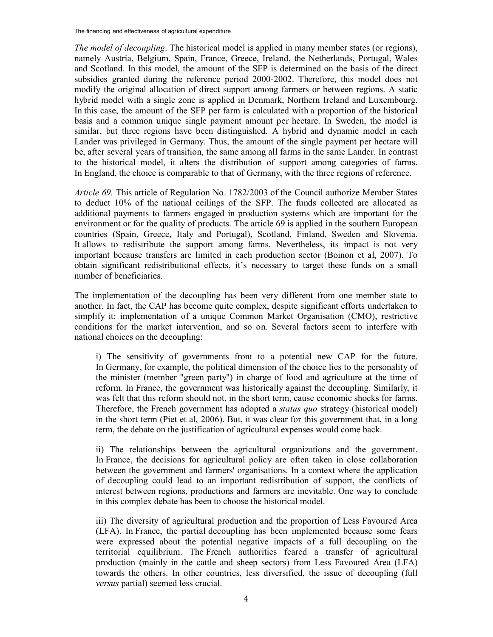The financing and effectiveness of agricultural expenditure

*The model of decoupling*. The historical model is applied in many member states (or regions), namely Austria, Belgium, Spain, France, Greece, Ireland, the Netherlands, Portugal, Wales and Scotland. In this model, the amount of the SFP is determined on the basis of the direct subsidies granted during the reference period 2000-2002. Therefore, this model does not modify the original allocation of direct support among farmers or between regions. A static hybrid model with a single zone is applied in Denmark, Northern Ireland and Luxembourg. In this case, the amount of the SFP per farm is calculated with a proportion of the historical basis and a common unique single payment amount per hectare. In Sweden, the model is similar, but three regions have been distinguished. A hybrid and dynamic model in each Lander was privileged in Germany. Thus, the amount of the single payment per hectare will be, after several years of transition, the same among all farms in the same Lander. In contrast to the historical model, it alters the distribution of support among categories of farms. In England, the choice is comparable to that of Germany, with the three regions of reference.

*Article 69.* This article of Regulation No. 1782/2003 of the Council authorize Member States to deduct 10% of the national ceilings of the SFP. The funds collected are allocated as additional payments to farmers engaged in production systems which are important for the environment or for the quality of products. The article 69 is applied in the southern European countries (Spain, Greece, Italy and Portugal), Scotland, Finland, Sweden and Slovenia. It allows to redistribute the support among farms. Nevertheless, its impact is not very important because transfers are limited in each production sector (Boinon et al, 2007). To obtain significant redistributional effects, it's necessary to target these funds on a small number of beneficiaries.

The implementation of the decoupling has been very different from one member state to another. In fact, the CAP has become quite complex, despite significant efforts undertaken to simplify it: implementation of a unique Common Market Organisation (CMO), restrictive conditions for the market intervention, and so on. Several factors seem to interfere with national choices on the decoupling:

i) The sensitivity of governments front to a potential new CAP for the future. In Germany, for example, the political dimension of the choice lies to the personality of the minister (member "green party") in charge of food and agriculture at the time of reform. In France, the government was historically against the decoupling. Similarly, it was felt that this reform should not, in the short term, cause economic shocks for farms. Therefore, the French government has adopted a *status quo* strategy (historical model) in the short term (Piet et al, 2006). But, it was clear for this government that, in a long term, the debate on the justification of agricultural expenses would come back.

ii) The relationships between the agricultural organizations and the government. In France, the decisions for agricultural policy are often taken in close collaboration between the government and farmers' organisations. In a context where the application of decoupling could lead to an important redistribution of support, the conflicts of interest between regions, productions and farmers are inevitable. One way to conclude in this complex debate has been to choose the historical model.

iii) The diversity of agricultural production and the proportion of Less Favoured Area (LFA). In France, the partial decoupling has been implemented because some fears were expressed about the potential negative impacts of a full decoupling on the territorial equilibrium. The French authorities feared a transfer of agricultural production (mainly in the cattle and sheep sectors) from Less Favoured Area (LFA) towards the others. In other countries, less diversified, the issue of decoupling (full *versus* partial) seemed less crucial.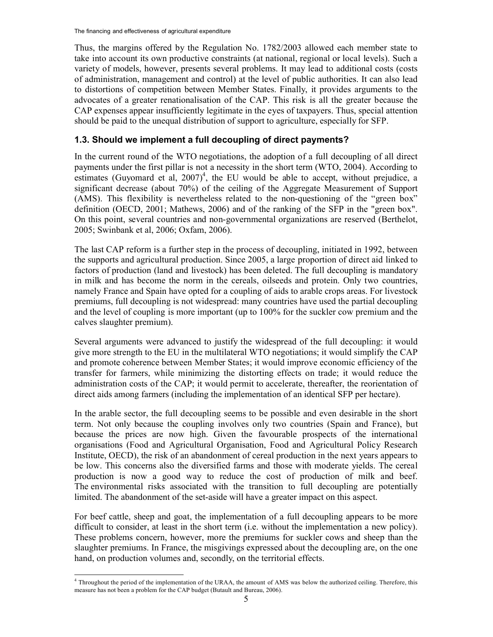Thus, the margins offered by the Regulation No. 1782/2003 allowed each member state to take into account its own productive constraints (at national, regional or local levels). Such a variety of models, however, presents several problems. It may lead to additional costs (costs of administration, management and control) at the level of public authorities. It can also lead to distortions of competition between Member States. Finally, it provides arguments to the advocates of a greater renationalisation of the CAP. This risk is all the greater because the CAP expenses appear insufficiently legitimate in the eyes of taxpayers. Thus, special attention should be paid to the unequal distribution of support to agriculture, especially for SFP.

#### **1.3. Should we implement a full decoupling of direct payments?**

In the current round of the WTO negotiations, the adoption of a full decoupling of all direct payments under the first pillar is not a necessity in the short term (WTO, 2004). According to estimates (Guyomard et al,  $2007$ <sup>4</sup>, the EU would be able to accept, without prejudice, a significant decrease (about 70%) of the ceiling of the Aggregate Measurement of Support (AMS). This flexibility is nevertheless related to the non-questioning of the "green box" definition (OECD, 2001; Mathews, 2006) and of the ranking of the SFP in the "green box". On this point, several countries and non-governmental organizations are reserved (Berthelot, 2005; Swinbank et al, 2006; Oxfam, 2006).

The last CAP reform is a further step in the process of decoupling, initiated in 1992, between the supports and agricultural production. Since 2005, a large proportion of direct aid linked to factors of production (land and livestock) has been deleted. The full decoupling is mandatory in milk and has become the norm in the cereals, oilseeds and protein. Only two countries, namely France and Spain have opted for a coupling of aids to arable crops areas. For livestock premiums, full decoupling is not widespread: many countries have used the partial decoupling and the level of coupling is more important (up to 100% for the suckler cow premium and the calves slaughter premium).

Several arguments were advanced to justify the widespread of the full decoupling: it would give more strength to the EU in the multilateral WTO negotiations; it would simplify the CAP and promote coherence between Member States; it would improve economic efficiency of the transfer for farmers, while minimizing the distorting effects on trade; it would reduce the administration costs of the CAP; it would permit to accelerate, thereafter, the reorientation of direct aids among farmers (including the implementation of an identical SFP per hectare).

In the arable sector, the full decoupling seems to be possible and even desirable in the short term. Not only because the coupling involves only two countries (Spain and France), but because the prices are now high. Given the favourable prospects of the international organisations (Food and Agricultural Organisation, Food and Agricultural Policy Research Institute, OECD), the risk of an abandonment of cereal production in the next years appears to be low. This concerns also the diversified farms and those with moderate yields. The cereal production is now a good way to reduce the cost of production of milk and beef. The environmental risks associated with the transition to full decoupling are potentially limited. The abandonment of the set-aside will have a greater impact on this aspect.

For beef cattle, sheep and goat, the implementation of a full decoupling appears to be more difficult to consider, at least in the short term (i.e. without the implementation a new policy). These problems concern, however, more the premiums for suckler cows and sheep than the slaughter premiums. In France, the misgivings expressed about the decoupling are, on the one hand, on production volumes and, secondly, on the territorial effects.

l <sup>4</sup> Throughout the period of the implementation of the URAA, the amount of AMS was below the authorized ceiling. Therefore, this measure has not been a problem for the CAP budget (Butault and Bureau, 2006).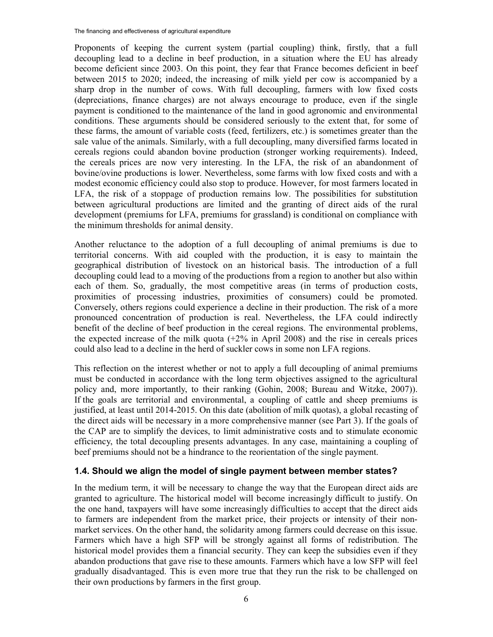Proponents of keeping the current system (partial coupling) think, firstly, that a full decoupling lead to a decline in beef production, in a situation where the EU has already become deficient since 2003. On this point, they fear that France becomes deficient in beef between 2015 to 2020; indeed, the increasing of milk yield per cow is accompanied by a sharp drop in the number of cows. With full decoupling, farmers with low fixed costs (depreciations, finance charges) are not always encourage to produce, even if the single payment is conditioned to the maintenance of the land in good agronomic and environmental conditions. These arguments should be considered seriously to the extent that, for some of these farms, the amount of variable costs (feed, fertilizers, etc.) is sometimes greater than the sale value of the animals. Similarly, with a full decoupling, many diversified farms located in cereals regions could abandon bovine production (stronger working requirements). Indeed, the cereals prices are now very interesting. In the LFA, the risk of an abandonment of bovine/ovine productions is lower. Nevertheless, some farms with low fixed costs and with a modest economic efficiency could also stop to produce. However, for most farmers located in LFA, the risk of a stoppage of production remains low. The possibilities for substitution between agricultural productions are limited and the granting of direct aids of the rural development (premiums for LFA, premiums for grassland) is conditional on compliance with the minimum thresholds for animal density.

Another reluctance to the adoption of a full decoupling of animal premiums is due to territorial concerns. With aid coupled with the production, it is easy to maintain the geographical distribution of livestock on an historical basis. The introduction of a full decoupling could lead to a moving of the productions from a region to another but also within each of them. So, gradually, the most competitive areas (in terms of production costs, proximities of processing industries, proximities of consumers) could be promoted. Conversely, others regions could experience a decline in their production. The risk of a more pronounced concentration of production is real. Nevertheless, the LFA could indirectly benefit of the decline of beef production in the cereal regions. The environmental problems, the expected increase of the milk quota  $(+2\%$  in April 2008) and the rise in cereals prices could also lead to a decline in the herd of suckler cows in some non LFA regions.

This reflection on the interest whether or not to apply a full decoupling of animal premiums must be conducted in accordance with the long term objectives assigned to the agricultural policy and, more importantly, to their ranking (Gohin, 2008; Bureau and Witzke, 2007)). If the goals are territorial and environmental, a coupling of cattle and sheep premiums is justified, at least until 2014-2015. On this date (abolition of milk quotas), a global recasting of the direct aids will be necessary in a more comprehensive manner (see Part 3). If the goals of the CAP are to simplify the devices, to limit administrative costs and to stimulate economic efficiency, the total decoupling presents advantages. In any case, maintaining a coupling of beef premiums should not be a hindrance to the reorientation of the single payment.

#### **1.4. Should we align the model of single payment between member states?**

In the medium term, it will be necessary to change the way that the European direct aids are granted to agriculture. The historical model will become increasingly difficult to justify. On the one hand, taxpayers will have some increasingly difficulties to accept that the direct aids to farmers are independent from the market price, their projects or intensity of their nonmarket services. On the other hand, the solidarity among farmers could decrease on this issue. Farmers which have a high SFP will be strongly against all forms of redistribution. The historical model provides them a financial security. They can keep the subsidies even if they abandon productions that gave rise to these amounts. Farmers which have a low SFP will feel gradually disadvantaged. This is even more true that they run the risk to be challenged on their own productions by farmers in the first group.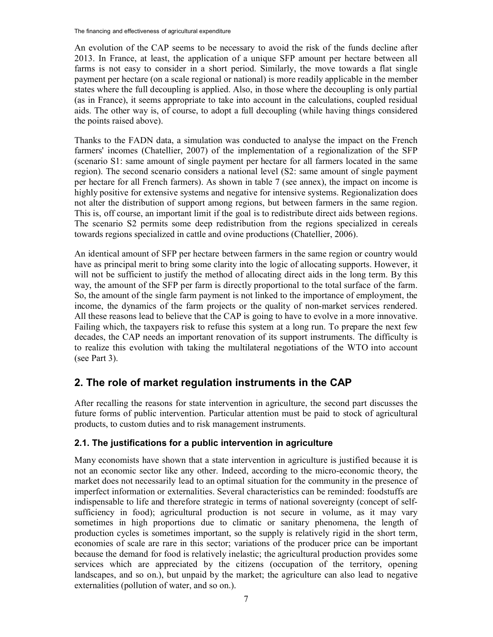An evolution of the CAP seems to be necessary to avoid the risk of the funds decline after 2013. In France, at least, the application of a unique SFP amount per hectare between all farms is not easy to consider in a short period. Similarly, the move towards a flat single payment per hectare (on a scale regional or national) is more readily applicable in the member states where the full decoupling is applied. Also, in those where the decoupling is only partial (as in France), it seems appropriate to take into account in the calculations, coupled residual aids. The other way is, of course, to adopt a full decoupling (while having things considered the points raised above).

Thanks to the FADN data, a simulation was conducted to analyse the impact on the French farmers' incomes (Chatellier, 2007) of the implementation of a regionalization of the SFP (scenario S1: same amount of single payment per hectare for all farmers located in the same region). The second scenario considers a national level (S2: same amount of single payment per hectare for all French farmers). As shown in table 7 (see annex), the impact on income is highly positive for extensive systems and negative for intensive systems. Regionalization does not alter the distribution of support among regions, but between farmers in the same region. This is, off course, an important limit if the goal is to redistribute direct aids between regions. The scenario S2 permits some deep redistribution from the regions specialized in cereals towards regions specialized in cattle and ovine productions (Chatellier, 2006).

An identical amount of SFP per hectare between farmers in the same region or country would have as principal merit to bring some clarity into the logic of allocating supports. However, it will not be sufficient to justify the method of allocating direct aids in the long term. By this way, the amount of the SFP per farm is directly proportional to the total surface of the farm. So, the amount of the single farm payment is not linked to the importance of employment, the income, the dynamics of the farm projects or the quality of non-market services rendered. All these reasons lead to believe that the CAP is going to have to evolve in a more innovative. Failing which, the taxpayers risk to refuse this system at a long run. To prepare the next few decades, the CAP needs an important renovation of its support instruments. The difficulty is to realize this evolution with taking the multilateral negotiations of the WTO into account (see Part 3).

## **2. The role of market regulation instruments in the CAP**

After recalling the reasons for state intervention in agriculture, the second part discusses the future forms of public intervention. Particular attention must be paid to stock of agricultural products, to custom duties and to risk management instruments.

#### **2.1. The justifications for a public intervention in agriculture**

Many economists have shown that a state intervention in agriculture is justified because it is not an economic sector like any other. Indeed, according to the micro-economic theory, the market does not necessarily lead to an optimal situation for the community in the presence of imperfect information or externalities. Several characteristics can be reminded: foodstuffs are indispensable to life and therefore strategic in terms of national sovereignty (concept of selfsufficiency in food); agricultural production is not secure in volume, as it may vary sometimes in high proportions due to climatic or sanitary phenomena, the length of production cycles is sometimes important, so the supply is relatively rigid in the short term, economies of scale are rare in this sector; variations of the producer price can be important because the demand for food is relatively inelastic; the agricultural production provides some services which are appreciated by the citizens (occupation of the territory, opening landscapes, and so on.), but unpaid by the market; the agriculture can also lead to negative externalities (pollution of water, and so on.).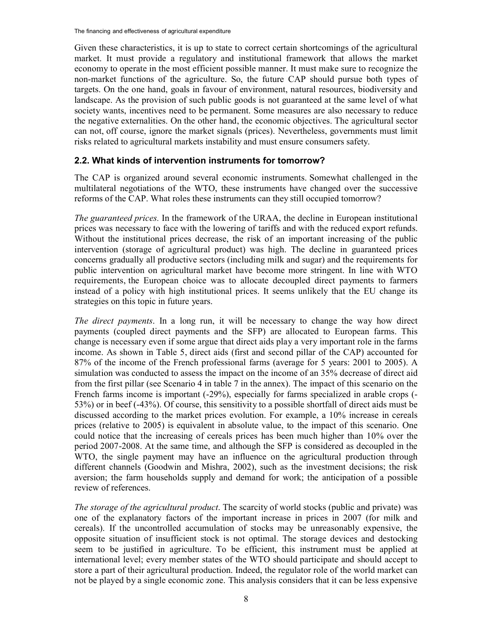Given these characteristics, it is up to state to correct certain shortcomings of the agricultural market. It must provide a regulatory and institutional framework that allows the market economy to operate in the most efficient possible manner. It must make sure to recognize the non-market functions of the agriculture. So, the future CAP should pursue both types of targets. On the one hand, goals in favour of environment, natural resources, biodiversity and landscape. As the provision of such public goods is not guaranteed at the same level of what society wants, incentives need to be permanent. Some measures are also necessary to reduce the negative externalities. On the other hand, the economic objectives. The agricultural sector can not, off course, ignore the market signals (prices). Nevertheless, governments must limit risks related to agricultural markets instability and must ensure consumers safety.

#### **2.2. What kinds of intervention instruments for tomorrow?**

The CAP is organized around several economic instruments. Somewhat challenged in the multilateral negotiations of the WTO, these instruments have changed over the successive reforms of the CAP. What roles these instruments can they still occupied tomorrow?

*The guaranteed prices.* In the framework of the URAA, the decline in European institutional prices was necessary to face with the lowering of tariffs and with the reduced export refunds. Without the institutional prices decrease, the risk of an important increasing of the public intervention (storage of agricultural product) was high. The decline in guaranteed prices concerns gradually all productive sectors (including milk and sugar) and the requirements for public intervention on agricultural market have become more stringent. In line with WTO requirements, the European choice was to allocate decoupled direct payments to farmers instead of a policy with high institutional prices. It seems unlikely that the EU change its strategies on this topic in future years.

*The direct payments*. In a long run, it will be necessary to change the way how direct payments (coupled direct payments and the SFP) are allocated to European farms. This change is necessary even if some argue that direct aids play a very important role in the farms income. As shown in Table 5, direct aids (first and second pillar of the CAP) accounted for 87% of the income of the French professional farms (average for 5 years: 2001 to 2005). A simulation was conducted to assess the impact on the income of an 35% decrease of direct aid from the first pillar (see Scenario 4 in table 7 in the annex). The impact of this scenario on the French farms income is important (-29%), especially for farms specialized in arable crops (-53%) or in beef (-43%). Of course, this sensitivity to a possible shortfall of direct aids must be discussed according to the market prices evolution. For example, a 10% increase in cereals prices (relative to 2005) is equivalent in absolute value, to the impact of this scenario. One could notice that the increasing of cereals prices has been much higher than 10% over the period 2007-2008. At the same time, and although the SFP is considered as decoupled in the WTO, the single payment may have an influence on the agricultural production through different channels (Goodwin and Mishra, 2002), such as the investment decisions; the risk aversion; the farm households supply and demand for work; the anticipation of a possible review of references.

*The storage of the agricultural product*. The scarcity of world stocks (public and private) was one of the explanatory factors of the important increase in prices in 2007 (for milk and cereals). If the uncontrolled accumulation of stocks may be unreasonably expensive, the opposite situation of insufficient stock is not optimal. The storage devices and destocking seem to be justified in agriculture. To be efficient, this instrument must be applied at international level; every member states of the WTO should participate and should accept to store a part of their agricultural production. Indeed, the regulator role of the world market can not be played by a single economic zone. This analysis considers that it can be less expensive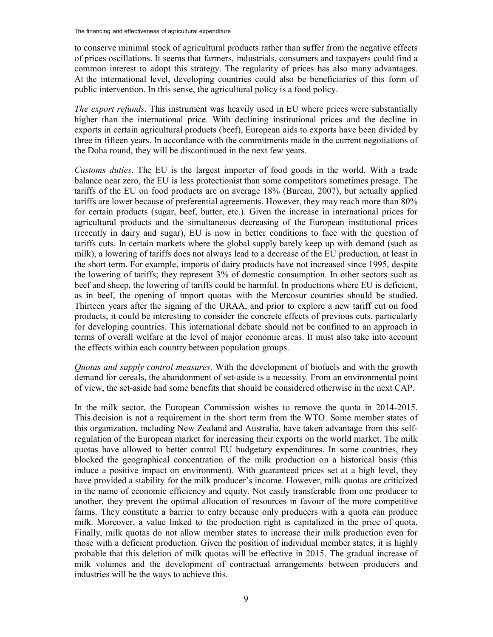to conserve minimal stock of agricultural products rather than suffer from the negative effects of prices oscillations. It seems that farmers, industrials, consumers and taxpayers could find a common interest to adopt this strategy. The regularity of prices has also many advantages. At the international level, developing countries could also be beneficiaries of this form of public intervention. In this sense, the agricultural policy is a food policy.

*The export refunds*. This instrument was heavily used in EU where prices were substantially higher than the international price. With declining institutional prices and the decline in exports in certain agricultural products (beef), European aids to exports have been divided by three in fifteen years. In accordance with the commitments made in the current negotiations of the Doha round, they will be discontinued in the next few years.

*Customs duties*. The EU is the largest importer of food goods in the world. With a trade balance near zero, the EU is less protectionist than some competitors sometimes presage. The tariffs of the EU on food products are on average 18% (Bureau, 2007), but actually applied tariffs are lower because of preferential agreements. However, they may reach more than 80% for certain products (sugar, beef, butter, etc.). Given the increase in international prices for agricultural products and the simultaneous decreasing of the European institutional prices (recently in dairy and sugar), EU is now in better conditions to face with the question of tariffs cuts. In certain markets where the global supply barely keep up with demand (such as milk), a lowering of tariffs does not always lead to a decrease of the EU production, at least in the short term. For example, imports of dairy products have not increased since 1995, despite the lowering of tariffs; they represent 3% of domestic consumption. In other sectors such as beef and sheep, the lowering of tariffs could be harmful. In productions where EU is deficient, as in beef, the opening of import quotas with the Mercosur countries should be studied. Thirteen years after the signing of the URAA, and prior to explore a new tariff cut on food products, it could be interesting to consider the concrete effects of previous cuts, particularly for developing countries. This international debate should not be confined to an approach in terms of overall welfare at the level of major economic areas. It must also take into account the effects within each country between population groups.

*Quotas and supply control measures*. With the development of biofuels and with the growth demand for cereals, the abandonment of set-aside is a necessity. From an environmental point of view, the set-aside had some benefits that should be considered otherwise in the next CAP.

In the milk sector, the European Commission wishes to remove the quota in 2014-2015. This decision is not a requirement in the short term from the WTO. Some member states of this organization, including New Zealand and Australia, have taken advantage from this selfregulation of the European market for increasing their exports on the world market. The milk quotas have allowed to better control EU budgetary expenditures. In some countries, they blocked the geographical concentration of the milk production on a historical basis (this induce a positive impact on environment). With guaranteed prices set at a high level, they have provided a stability for the milk producer's income. However, milk quotas are criticized in the name of economic efficiency and equity. Not easily transferable from one producer to another, they prevent the optimal allocation of resources in favour of the more competitive farms. They constitute a barrier to entry because only producers with a quota can produce milk. Moreover, a value linked to the production right is capitalized in the price of quota. Finally, milk quotas do not allow member states to increase their milk production even for those with a deficient production. Given the position of individual member states, it is highly probable that this deletion of milk quotas will be effective in 2015. The gradual increase of milk volumes and the development of contractual arrangements between producers and industries will be the ways to achieve this.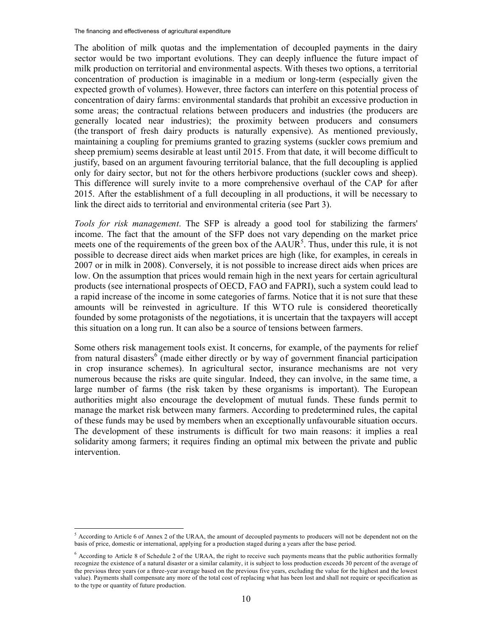The abolition of milk quotas and the implementation of decoupled payments in the dairy sector would be two important evolutions. They can deeply influence the future impact of milk production on territorial and environmental aspects. With theses two options, a territorial concentration of production is imaginable in a medium or long-term (especially given the expected growth of volumes). However, three factors can interfere on this potential process of concentration of dairy farms: environmental standards that prohibit an excessive production in some areas; the contractual relations between producers and industries (the producers are generally located near industries); the proximity between producers and consumers (the transport of fresh dairy products is naturally expensive). As mentioned previously, maintaining a coupling for premiums granted to grazing systems (suckler cows premium and sheep premium) seems desirable at least until 2015. From that date, it will become difficult to justify, based on an argument favouring territorial balance, that the full decoupling is applied only for dairy sector, but not for the others herbivore productions (suckler cows and sheep). This difference will surely invite to a more comprehensive overhaul of the CAP for after 2015. After the establishment of a full decoupling in all productions, it will be necessary to link the direct aids to territorial and environmental criteria (see Part 3).

*Tools for risk management*. The SFP is already a good tool for stabilizing the farmers' income. The fact that the amount of the SFP does not vary depending on the market price meets one of the requirements of the green box of the  $AAUR<sup>5</sup>$ . Thus, under this rule, it is not possible to decrease direct aids when market prices are high (like, for examples, in cereals in 2007 or in milk in 2008). Conversely, it is not possible to increase direct aids when prices are low. On the assumption that prices would remain high in the next years for certain agricultural products (see international prospects of OECD, FAO and FAPRI), such a system could lead to a rapid increase of the income in some categories of farms. Notice that it is not sure that these amounts will be reinvested in agriculture. If this WTO rule is considered theoretically founded by some protagonists of the negotiations, it is uncertain that the taxpayers will accept this situation on a long run. It can also be a source of tensions between farmers.

Some others risk management tools exist. It concerns, for example, of the payments for relief from natural disasters<sup>6</sup> (made either directly or by way of government financial participation in crop insurance schemes). In agricultural sector, insurance mechanisms are not very numerous because the risks are quite singular. Indeed, they can involve, in the same time, a large number of farms (the risk taken by these organisms is important). The European authorities might also encourage the development of mutual funds. These funds permit to manage the market risk between many farmers. According to predetermined rules, the capital of these funds may be used by members when an exceptionally unfavourable situation occurs. The development of these instruments is difficult for two main reasons: it implies a real solidarity among farmers; it requires finding an optimal mix between the private and public intervention.

 $\overline{a}$ 

<sup>5</sup> According to Article 6 of Annex 2 of the URAA, the amount of decoupled payments to producers will not be dependent not on the basis of price, domestic or international, applying for a production staged during a years after the base period.

<sup>&</sup>lt;sup>6</sup> According to Article 8 of Schedule 2 of the URAA, the right to receive such payments means that the public authorities formally recognize the existence of a natural disaster or a similar calamity, it is subject to loss production exceeds 30 percent of the average of the previous three years (or a three-year average based on the previous five years, excluding the value for the highest and the lowest value). Payments shall compensate any more of the total cost of replacing what has been lost and shall not require or specification as to the type or quantity of future production.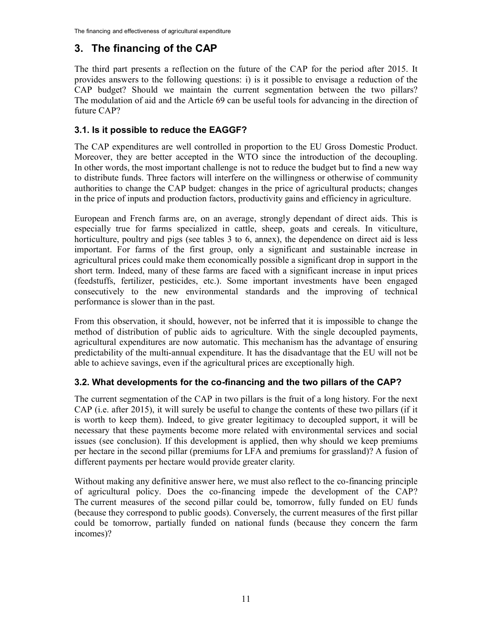## **3. The financing of the CAP**

The third part presents a reflection on the future of the CAP for the period after 2015. It provides answers to the following questions: i) is it possible to envisage a reduction of the CAP budget? Should we maintain the current segmentation between the two pillars? The modulation of aid and the Article 69 can be useful tools for advancing in the direction of future CAP?

#### **3.1. Is it possible to reduce the EAGGF?**

The CAP expenditures are well controlled in proportion to the EU Gross Domestic Product. Moreover, they are better accepted in the WTO since the introduction of the decoupling. In other words, the most important challenge is not to reduce the budget but to find a new way to distribute funds. Three factors will interfere on the willingness or otherwise of community authorities to change the CAP budget: changes in the price of agricultural products; changes in the price of inputs and production factors, productivity gains and efficiency in agriculture.

European and French farms are, on an average, strongly dependant of direct aids. This is especially true for farms specialized in cattle, sheep, goats and cereals. In viticulture, horticulture, poultry and pigs (see tables 3 to 6, annex), the dependence on direct aid is less important. For farms of the first group, only a significant and sustainable increase in agricultural prices could make them economically possible a significant drop in support in the short term. Indeed, many of these farms are faced with a significant increase in input prices (feedstuffs, fertilizer, pesticides, etc.). Some important investments have been engaged consecutively to the new environmental standards and the improving of technical performance is slower than in the past.

From this observation, it should, however, not be inferred that it is impossible to change the method of distribution of public aids to agriculture. With the single decoupled payments, agricultural expenditures are now automatic. This mechanism has the advantage of ensuring predictability of the multi-annual expenditure. It has the disadvantage that the EU will not be able to achieve savings, even if the agricultural prices are exceptionally high.

#### **3.2. What developments for the co-financing and the two pillars of the CAP?**

The current segmentation of the CAP in two pillars is the fruit of a long history. For the next CAP (i.e. after 2015), it will surely be useful to change the contents of these two pillars (if it is worth to keep them). Indeed, to give greater legitimacy to decoupled support, it will be necessary that these payments become more related with environmental services and social issues (see conclusion). If this development is applied, then why should we keep premiums per hectare in the second pillar (premiums for LFA and premiums for grassland)? A fusion of different payments per hectare would provide greater clarity.

Without making any definitive answer here, we must also reflect to the co-financing principle of agricultural policy. Does the co-financing impede the development of the CAP? The current measures of the second pillar could be, tomorrow, fully funded on EU funds (because they correspond to public goods). Conversely, the current measures of the first pillar could be tomorrow, partially funded on national funds (because they concern the farm incomes)?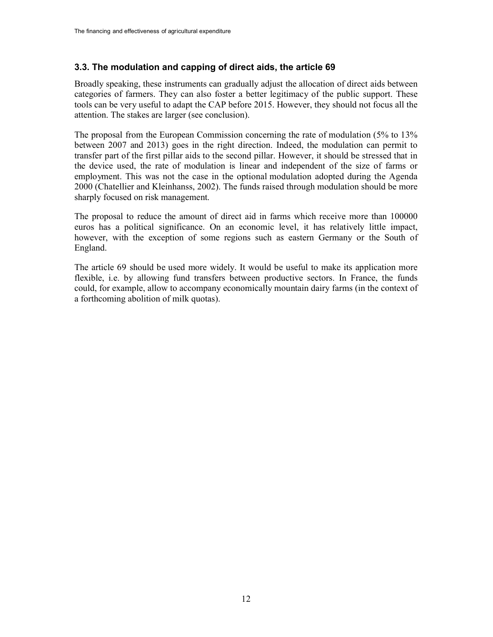#### **3.3. The modulation and capping of direct aids, the article 69**

Broadly speaking, these instruments can gradually adjust the allocation of direct aids between categories of farmers. They can also foster a better legitimacy of the public support. These tools can be very useful to adapt the CAP before 2015. However, they should not focus all the attention. The stakes are larger (see conclusion).

The proposal from the European Commission concerning the rate of modulation (5% to 13% between 2007 and 2013) goes in the right direction. Indeed, the modulation can permit to transfer part of the first pillar aids to the second pillar. However, it should be stressed that in the device used, the rate of modulation is linear and independent of the size of farms or employment. This was not the case in the optional modulation adopted during the Agenda 2000 (Chatellier and Kleinhanss, 2002). The funds raised through modulation should be more sharply focused on risk management.

The proposal to reduce the amount of direct aid in farms which receive more than 100000 euros has a political significance. On an economic level, it has relatively little impact, however, with the exception of some regions such as eastern Germany or the South of England.

The article 69 should be used more widely. It would be useful to make its application more flexible, i.e. by allowing fund transfers between productive sectors. In France, the funds could, for example, allow to accompany economically mountain dairy farms (in the context of a forthcoming abolition of milk quotas).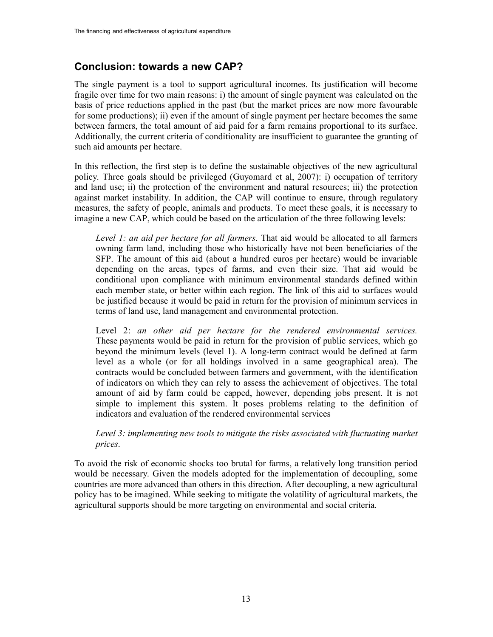## **Conclusion: towards a new CAP?**

The single payment is a tool to support agricultural incomes. Its justification will become fragile over time for two main reasons: i) the amount of single payment was calculated on the basis of price reductions applied in the past (but the market prices are now more favourable for some productions); ii) even if the amount of single payment per hectare becomes the same between farmers, the total amount of aid paid for a farm remains proportional to its surface. Additionally, the current criteria of conditionality are insufficient to guarantee the granting of such aid amounts per hectare.

In this reflection, the first step is to define the sustainable objectives of the new agricultural policy. Three goals should be privileged (Guyomard et al, 2007): i) occupation of territory and land use; ii) the protection of the environment and natural resources; iii) the protection against market instability. In addition, the CAP will continue to ensure, through regulatory measures, the safety of people, animals and products. To meet these goals, it is necessary to imagine a new CAP, which could be based on the articulation of the three following levels:

*Level 1: an aid per hectare for all farmers*. That aid would be allocated to all farmers owning farm land, including those who historically have not been beneficiaries of the SFP. The amount of this aid (about a hundred euros per hectare) would be invariable depending on the areas, types of farms, and even their size. That aid would be conditional upon compliance with minimum environmental standards defined within each member state, or better within each region. The link of this aid to surfaces would be justified because it would be paid in return for the provision of minimum services in terms of land use, land management and environmental protection.

Level 2: *an other aid per hectare for the rendered environmental services.* These payments would be paid in return for the provision of public services, which go beyond the minimum levels (level 1). A long-term contract would be defined at farm level as a whole (or for all holdings involved in a same geographical area). The contracts would be concluded between farmers and government, with the identification of indicators on which they can rely to assess the achievement of objectives. The total amount of aid by farm could be capped, however, depending jobs present. It is not simple to implement this system. It poses problems relating to the definition of indicators and evaluation of the rendered environmental services

*Level 3: implementing new tools to mitigate the risks associated with fluctuating market prices*.

To avoid the risk of economic shocks too brutal for farms, a relatively long transition period would be necessary. Given the models adopted for the implementation of decoupling, some countries are more advanced than others in this direction. After decoupling, a new agricultural policy has to be imagined. While seeking to mitigate the volatility of agricultural markets, the agricultural supports should be more targeting on environmental and social criteria.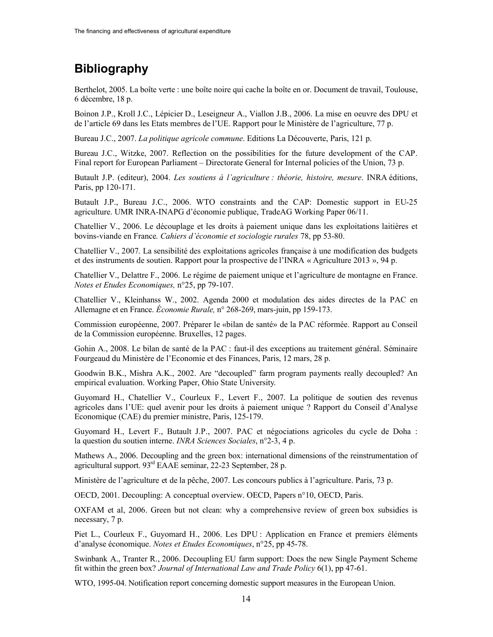# **Bibliography**

Berthelot, 2005. La boîte verte : une boîte noire qui cache la boîte en or. Document de travail, Toulouse, 6 décembre, 18 p.

Boinon J.P., Kroll J.C., Lépicier D., Leseigneur A., Viallon J.B., 2006. La mise en oeuvre des DPU et de l'article 69 dans les Etats membres de l'UE. Rapport pour le Ministère de l'agriculture, 77 p.

Bureau J.C., 2007. *La politique agricole commune*. Editions La Découverte, Paris, 121 p.

Bureau J.C., Witzke, 2007. Reflection on the possibilities for the future development of the CAP. Final report for European Parliament – Directorate General for Internal policies of the Union, 73 p.

Butault J.P. (editeur), 2004. *Les soutiens à l'agriculture : théorie, histoire, mesure*. INRA éditions, Paris, pp 120-171.

Butault J.P., Bureau J.C., 2006. WTO constraints and the CAP: Domestic support in EU-25 agriculture. UMR INRA-INAPG d'économie publique, TradeAG Working Paper 06/11.

Chatellier V., 2006. Le découplage et les droits à paiement unique dans les exploitations laitières et bovins-viande en France. *Cahiers d'économie et sociologie rurales* 78, pp 53-80.

Chatellier V., 2007. La sensibilité des exploitations agricoles française à une modification des budgets et des instruments de soutien. Rapport pour la prospective de l'INRA « Agriculture 2013 », 94 p.

Chatellier V., Delattre F., 2006. Le régime de paiement unique et l'agriculture de montagne en France. *Notes et Etudes Economiques,* n°25, pp 79-107.

Chatellier V., Kleinhanss W., 2002. Agenda 2000 et modulation des aides directes de la PAC en Allemagne et en France. *Économie Rurale,* n° 268-269, mars-juin, pp 159-173.

Commission européenne, 2007. Préparer le «bilan de santé» de la PAC réformée. Rapport au Conseil de la Commission européenne. Bruxelles, 12 pages.

Gohin A., 2008. Le bilan de santé de la PAC : faut-il des exceptions au traitement général. Séminaire Fourgeaud du Ministère de l'Economie et des Finances, Paris, 12 mars, 28 p.

Goodwin B.K., Mishra A.K., 2002. Are "decoupled" farm program payments really decoupled? An empirical evaluation. Working Paper, Ohio State University.

Guyomard H., Chatellier V., Courleux F., Levert F., 2007. La politique de soutien des revenus agricoles dans l'UE: quel avenir pour les droits à paiement unique ? Rapport du Conseil d'Analyse Economique (CAE) du premier ministre, Paris, 125-179.

Guyomard H., Levert F., Butault J.P., 2007. PAC et négociations agricoles du cycle de Doha : la question du soutien interne. *INRA Sciences Sociales*, n°2-3, 4 p.

Mathews A., 2006. Decoupling and the green box: international dimensions of the reinstrumentation of agricultural support. 93rd EAAE seminar, 22-23 September, 28 p.

Ministère de l'agriculture et de la pêche, 2007. Les concours publics à l'agriculture. Paris, 73 p.

OECD, 2001. Decoupling: A conceptual overview. OECD, Papers n°10, OECD, Paris.

OXFAM et al, 2006. Green but not clean: why a comprehensive review of green box subsidies is necessary, 7 p.

Piet L., Courleux F., Guyomard H., 2006. Les DPU : Application en France et premiers éléments d'analyse économique. *Notes et Etudes Economiques*, n°25, pp 45-78.

Swinbank A., Tranter R., 2006. Decoupling EU farm support: Does the new Single Payment Scheme fit within the green box? *Journal of International Law and Trade Policy* 6(1), pp 47-61.

WTO, 1995-04. Notification report concerning domestic support measures in the European Union.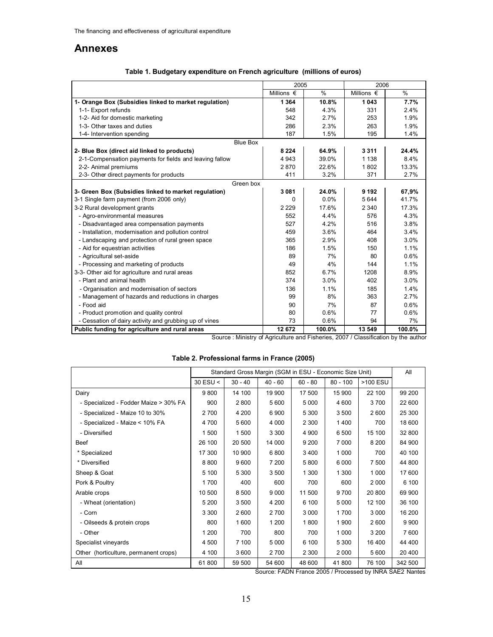#### **Annexes**

| Table 1. Budgetary expenditure on French agriculture (millions of euros) |
|--------------------------------------------------------------------------|
|--------------------------------------------------------------------------|

|                                                         | 2005                |               | 2006                |               |
|---------------------------------------------------------|---------------------|---------------|---------------------|---------------|
|                                                         | Millions $\epsilon$ | $\frac{0}{0}$ | Millions $\epsilon$ | $\frac{0}{0}$ |
| 1- Orange Box (Subsidies linked to market regulation)   | 1 3 6 4             | 10.8%         | 1 0 4 3             | 7.7%          |
| 1-1- Export refunds                                     | 548                 | 4.3%          | 331                 | 2.4%          |
| 1-2- Aid for domestic marketing                         | 342                 | 2.7%          | 253                 | 1.9%          |
| 1-3- Other taxes and duties                             | 286                 | 2.3%          | 263                 | 1.9%          |
| 1-4- Intervention spending                              | 187                 | 1.5%          | 195                 | 1.4%          |
| <b>Blue Box</b>                                         |                     |               |                     |               |
| 2- Blue Box (direct aid linked to products)             | 8 2 2 4             | 64.9%         | 3311                | 24.4%         |
| 2-1-Compensation payments for fields and leaving fallow | 4 9 4 3             | 39.0%         | 1 1 3 8             | 8.4%          |
| 2-2- Animal premiums                                    | 2870                | 22.6%         | 1802                | 13.3%         |
| 2-3- Other direct payments for products                 | 411                 | 3.2%          | 371                 | 2.7%          |
| Green box                                               |                     |               |                     |               |
| 3- Green Box (Subsidies linked to market regulation)    | 3 0 8 1             | 24.0%         | 9 1 9 2             | 67,9%         |
| 3-1 Single farm payment (from 2006 only)                | 0                   | 0.0%          | 5644                | 41.7%         |
| 3-2 Rural development grants                            | 2 2 2 9             | 17.6%         | 2 3 4 0             | 17.3%         |
| - Agro-environmental measures                           | 552                 | 4.4%          | 576                 | 4.3%          |
| - Disadvantaged area compensation payments              | 527                 | 4.2%          | 516                 | 3.8%          |
| - Installation, modernisation and pollution control     | 459                 | 3.6%          | 464                 | 3.4%          |
| - Landscaping and protection of rural green space       | 365                 | 2.9%          | 408                 | 3.0%          |
| - Aid for equestrian activities                         | 186                 | 1.5%          | 150                 | 1.1%          |
| - Agricultural set-aside                                | 89                  | 7%            | 80                  | 0.6%          |
| - Processing and marketing of products                  | 49                  | 4%            | 144                 | 1.1%          |
| 3-3- Other aid for agriculture and rural areas          | 852                 | 6.7%          | 1208                | 8.9%          |
| - Plant and animal health                               | 374                 | 3.0%          | 402                 | 3.0%          |
| - Organisation and modernisation of sectors             | 136                 | 1.1%          | 185                 | 1.4%          |
| - Management of hazards and reductions in charges       | 99                  | 8%            | 363                 | 2.7%          |
| - Food aid                                              | 90                  | 7%            | 87                  | 0.6%          |
| - Product promotion and quality control                 | 80                  | 0.6%          | 77                  | 0.6%          |
| - Cessation of dairy activity and grubbing up of vines  | 73                  | 0.6%          | 94                  | 7%            |
| Public funding for agriculture and rural areas          | 12 672              | 100.0%        | 13 549              | 100.0%        |

Source : Ministry of Agriculture and Fisheries, 2007 / Classification by the author

| Table 2. Professional farms in France (2005) |  |  |
|----------------------------------------------|--|--|
|                                              |  |  |

|                                       |                 | Standard Gross Margin (SGM in ESU - Economic Size Unit) |           |           |            |          |         |  |
|---------------------------------------|-----------------|---------------------------------------------------------|-----------|-----------|------------|----------|---------|--|
|                                       | $30$ ESU $\leq$ | $30 - 40$                                               | $40 - 60$ | $60 - 80$ | $80 - 100$ | >100 ESU |         |  |
| Dairy                                 | 9800            | 14 100                                                  | 19 900    | 17 500    | 15 900     | 22 100   | 99 200  |  |
| - Specialized - Fodder Maize > 30% FA | 900             | 2800                                                    | 5 600     | 5 0 0 0   | 4 600      | 3700     | 22 600  |  |
| - Specialized - Maize 10 to 30%       | 2700            | 4 200                                                   | 6900      | 5 3 0 0   | 3500       | 2600     | 25 300  |  |
| - Specialized - Maize < 10% FA        | 4700            | 5 600                                                   | 4 0 0 0   | 2 3 0 0   | 1400       | 700      | 18 600  |  |
| - Diversified                         | 1500            | 1500                                                    | 3 3 0 0   | 4 9 0 0   | 6 500      | 15 100   | 32 800  |  |
| <b>Beef</b>                           | 26 100          | 20 500                                                  | 14 000    | 9 2 0 0   | 7 0 0 0    | 8 200    | 84 900  |  |
| * Specialized                         | 17 300          | 10 900                                                  | 6800      | 3400      | 1 0 0 0    | 700      | 40 100  |  |
| * Diversified                         | 8800            | 9600                                                    | 7 200     | 5800      | 6 0 0 0    | 7 500    | 44 800  |  |
| Sheep & Goat                          | 5 100           | 5 3 0 0                                                 | 3500      | 1 300     | 1 300      | 1 0 0 0  | 17 600  |  |
| Pork & Poultry                        | 1700            | 400                                                     | 600       | 700       | 600        | 2 0 0 0  | 6 100   |  |
| Arable crops                          | 10 500          | 8 5 0 0                                                 | 9 0 0 0   | 11 500    | 9700       | 20 800   | 69 900  |  |
| - Wheat (orientation)                 | 5 200           | 3500                                                    | 4 200     | 6 100     | 5 0 0 0    | 12 100   | 36 100  |  |
| - Corn                                | 3 3 0 0         | 2600                                                    | 2 700     | 3 0 0 0   | 1700       | 3 0 0 0  | 16 200  |  |
| - Oilseeds & protein crops            | 800             | 1600                                                    | 1 200     | 1800      | 1 900      | 2600     | 9 9 0 0 |  |
| - Other                               | 1 200           | 700                                                     | 800       | 700       | 1 0 0 0    | 3 2 0 0  | 7600    |  |
| Specialist vineyards                  | 4 500           | 7 100                                                   | 5 0 0 0   | 6 100     | 5 3 0 0    | 16 400   | 44 400  |  |
| Other (horticulture, permanent crops) | 4 100           | 3600                                                    | 2700      | 2 3 0 0   | 2 0 0 0    | 5 600    | 20 400  |  |
| All                                   | 61800           | 59 500                                                  | 54 600    | 48 600    | 41800      | 76 100   | 342 500 |  |

Source: FADN France 2005 / Processed by INRA SAE2 Nantes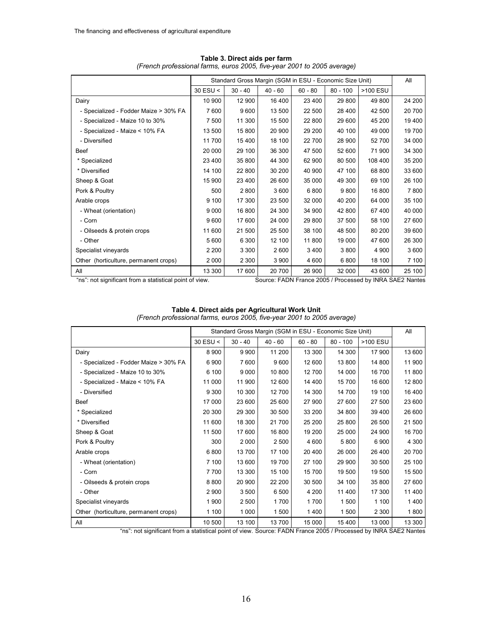|                                       |          | Standard Gross Margin (SGM in ESU - Economic Size Unit) |           |           |            |          |        |  |
|---------------------------------------|----------|---------------------------------------------------------|-----------|-----------|------------|----------|--------|--|
|                                       | 30 ESU < | $30 - 40$                                               | $40 - 60$ | $60 - 80$ | $80 - 100$ | >100 ESU |        |  |
| Dairy                                 | 10 900   | 12 900                                                  | 16 400    | 23 400    | 29 800     | 49 800   | 24 200 |  |
| - Specialized - Fodder Maize > 30% FA | 7600     | 9600                                                    | 13 500    | 22 500    | 28 400     | 42 500   | 20 700 |  |
| - Specialized - Maize 10 to 30%       | 7 500    | 11 300                                                  | 15 500    | 22 800    | 29 600     | 45 200   | 19 400 |  |
| - Specialized - Maize < 10% FA        | 13 500   | 15 800                                                  | 20 900    | 29 200    | 40 100     | 49 000   | 19700  |  |
| - Diversified                         | 11 700   | 15 400                                                  | 18 100    | 22 700    | 28 900     | 52 700   | 34 000 |  |
| Beef                                  | 20 000   | 29 100                                                  | 36 300    | 47 500    | 52 600     | 71 900   | 34 300 |  |
| * Specialized                         | 23 400   | 35 800                                                  | 44 300    | 62 900    | 80 500     | 108 400  | 35 200 |  |
| * Diversified                         | 14 100   | 22 800                                                  | 30 200    | 40 900    | 47 100     | 68 800   | 33 600 |  |
| Sheep & Goat                          | 15 900   | 23 400                                                  | 26 600    | 35 000    | 49 300     | 69 100   | 26 100 |  |
| Pork & Poultry                        | 500      | 2800                                                    | 3 600     | 6800      | 9800       | 16 800   | 7800   |  |
| Arable crops                          | 9 100    | 17 300                                                  | 23 500    | 32 000    | 40 200     | 64 000   | 35 100 |  |
| - Wheat (orientation)                 | 9 0 0 0  | 16 800                                                  | 24 300    | 34 900    | 42 800     | 67400    | 40 000 |  |
| - Corn                                | 9600     | 17 600                                                  | 24 000    | 29 800    | 37 500     | 58 100   | 27 600 |  |
| - Oilseeds & protein crops            | 11 600   | 21 500                                                  | 25 500    | 38 100    | 48 500     | 80 200   | 39 600 |  |
| - Other                               | 5 600    | 6 3 0 0                                                 | 12 100    | 11 800    | 19 000     | 47 600   | 26 300 |  |
| Specialist vineyards                  | 2 2 0 0  | 3 3 0 0                                                 | 2 600     | 3 4 0 0   | 3 800      | 4 9 0 0  | 3600   |  |
| Other (horticulture, permanent crops) | 2 0 0 0  | 2 3 0 0                                                 | 3 900     | 4 600     | 6800       | 18 100   | 7 100  |  |
| All                                   | 13 300   | 17 600                                                  | 20 700    | 26 900    | 32 000     | 43 600   | 25 100 |  |

**Table 3. Direct aids per farm** *(French professional farms, euros 2005, five-year 2001 to 2005 average)*

"ns": not significant from a statistical point of view. Source: FADN France 2005 / Processed by INRA SAE2 Nantes

|                                       |            |           | Standard Gross Margin (SGM in ESU - Economic Size Unit) |           |            |          | All     |
|---------------------------------------|------------|-----------|---------------------------------------------------------|-----------|------------|----------|---------|
|                                       | $30$ ESU < | $30 - 40$ | $40 - 60$                                               | $60 - 80$ | $80 - 100$ | >100 ESU |         |
| Dairy                                 | 8 9 0 0    | 9 9 0 0   | 11 200                                                  | 13 300    | 14 300     | 17 900   | 13 600  |
| - Specialized - Fodder Maize > 30% FA | 6900       | 7600      | 9600                                                    | 12 600    | 13 800     | 14 800   | 11 900  |
| - Specialized - Maize 10 to 30%       | 6 100      | 9 0 0 0   | 10 800                                                  | 12 700    | 14 000     | 16 700   | 11800   |
| - Specialized - Maize < 10% FA        | 11 000     | 11 900    | 12 600                                                  | 14 400    | 15 700     | 16 600   | 12 800  |
| - Diversified                         | 9 3 0 0    | 10 300    | 12 700                                                  | 14 300    | 14 700     | 19 100   | 16 400  |
| Beef                                  | 17 000     | 23 600    | 25 600                                                  | 27 900    | 27 600     | 27 500   | 23 600  |
| * Specialized                         | 20 300     | 29 300    | 30 500                                                  | 33 200    | 34 800     | 39 400   | 26 600  |
| * Diversified                         | 11 600     | 18 300    | 21 700                                                  | 25 200    | 25 800     | 26 500   | 21 500  |
| Sheep & Goat                          | 11 500     | 17 600    | 16 800                                                  | 19 200    | 25 000     | 24 900   | 16700   |
| Pork & Poultry                        | 300        | 2 0 0 0   | 2 500                                                   | 4 600     | 5 800      | 6 900    | 4 3 0 0 |
| Arable crops                          | 6800       | 13700     | 17 100                                                  | 20 400    | 26 000     | 26 400   | 20 700  |
| - Wheat (orientation)                 | 7 100      | 13 600    | 19 700                                                  | 27 100    | 29 900     | 30 500   | 25 100  |
| - Corn                                | 7700       | 13 300    | 15 100                                                  | 15 700    | 19 500     | 19 500   | 15 500  |
| - Oilseeds & protein crops            | 8800       | 20 900    | 22 200                                                  | 30 500    | 34 100     | 35 800   | 27 600  |
| - Other                               | 2 9 0 0    | 3500      | 6 500                                                   | 4 200     | 11 400     | 17 300   | 11 400  |
| Specialist vineyards                  | 1900       | 2 500     | 1700                                                    | 1700      | 1 500      | 1 100    | 1400    |
| Other (horticulture, permanent crops) | 1 100      | 1 0 0 0   | 1 500                                                   | 1400      | 1 500      | 2 3 0 0  | 1800    |
| All                                   | 10 500     | 13 100    | 13 700                                                  | 15 000    | 15 400     | 13 000   | 13 300  |

#### **Table 4. Direct aids per Agricultural Work Unit** *(French professional farms, euros 2005, five-year 2001 to 2005 average)*

"ns": not significant from a statistical point of view. Source: FADN France 2005 / Processed by INRA SAE2 Nantes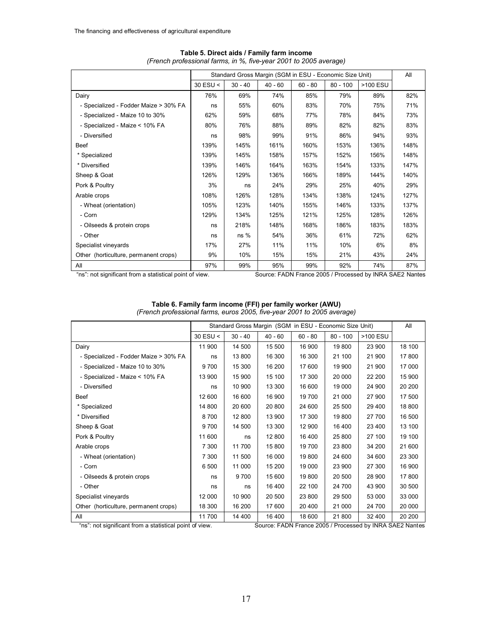|                                       |            | Standard Gross Margin (SGM in ESU - Economic Size Unit) |           |           |            |          |      |  |
|---------------------------------------|------------|---------------------------------------------------------|-----------|-----------|------------|----------|------|--|
|                                       | $30$ ESU < | $30 - 40$                                               | $40 - 60$ | $60 - 80$ | $80 - 100$ | >100 ESU |      |  |
| Dairy                                 | 76%        | 69%                                                     | 74%       | 85%       | 79%        | 89%      | 82%  |  |
| - Specialized - Fodder Maize > 30% FA | ns         | 55%                                                     | 60%       | 83%       | 70%        | 75%      | 71%  |  |
| - Specialized - Maize 10 to 30%       | 62%        | 59%                                                     | 68%       | 77%       | 78%        | 84%      | 73%  |  |
| - Specialized - Maize < 10% FA        | 80%        | 76%                                                     | 88%       | 89%       | 82%        | 82%      | 83%  |  |
| - Diversified                         | ns         | 98%                                                     | 99%       | 91%       | 86%        | 94%      | 93%  |  |
| <b>Beef</b>                           | 139%       | 145%                                                    | 161%      | 160%      | 153%       | 136%     | 148% |  |
| * Specialized                         | 139%       | 145%                                                    | 158%      | 157%      | 152%       | 156%     | 148% |  |
| * Diversified                         | 139%       | 146%                                                    | 164%      | 163%      | 154%       | 133%     | 147% |  |
| Sheep & Goat                          | 126%       | 129%                                                    | 136%      | 166%      | 189%       | 144%     | 140% |  |
| Pork & Poultry                        | 3%         | ns                                                      | 24%       | 29%       | 25%        | 40%      | 29%  |  |
| Arable crops                          | 108%       | 126%                                                    | 128%      | 134%      | 138%       | 124%     | 127% |  |
| - Wheat (orientation)                 | 105%       | 123%                                                    | 140%      | 155%      | 146%       | 133%     | 137% |  |
| - Corn                                | 129%       | 134%                                                    | 125%      | 121%      | 125%       | 128%     | 126% |  |
| - Oilseeds & protein crops            | ns         | 218%                                                    | 148%      | 168%      | 186%       | 183%     | 183% |  |
| - Other                               | ns         | $ns\%$                                                  | 54%       | 36%       | 61%        | 72%      | 62%  |  |
| Specialist vineyards                  | 17%        | 27%                                                     | 11%       | 11%       | 10%        | 6%       | 8%   |  |
| Other (horticulture, permanent crops) | 9%         | 10%                                                     | 15%       | 15%       | 21%        | 43%      | 24%  |  |
| All                                   | 97%        | 99%                                                     | 95%       | 99%       | 92%        | 74%      | 87%  |  |

#### **Table 5. Direct aids / Family farm income** *(French professional farms, in %, five-year 2001 to 2005 average)*

"ns": not significant from a statistical point of view. Source: FADN France 2005 / Processed by INRA SAE2 Nantes

|                                       |            |           | Standard Gross Margin (SGM in ESU - Economic Size Unit) |           |            |          | All    |
|---------------------------------------|------------|-----------|---------------------------------------------------------|-----------|------------|----------|--------|
|                                       | $30$ ESU < | $30 - 40$ | $40 - 60$                                               | $60 - 80$ | $80 - 100$ | >100 ESU |        |
| Dairy                                 | 11 900     | 14 500    | 15 500                                                  | 16 900    | 19 800     | 23 900   | 18 100 |
| - Specialized - Fodder Maize > 30% FA | ns         | 13 800    | 16 300                                                  | 16 300    | 21 100     | 21 900   | 17800  |
| - Specialized - Maize 10 to 30%       | 9700       | 15 300    | 16 200                                                  | 17 600    | 19 900     | 21 900   | 17 000 |
| - Specialized - Maize < 10% FA        | 13 900     | 15 900    | 15 100                                                  | 17 300    | 20 000     | 22 200   | 15 900 |
| - Diversified                         | ns         | 10 900    | 13 300                                                  | 16 600    | 19 000     | 24 900   | 20 200 |
| <b>Beef</b>                           | 12 600     | 16 600    | 16 900                                                  | 19700     | 21 000     | 27 900   | 17 500 |
| * Specialized                         | 14 800     | 20 600    | 20 800                                                  | 24 600    | 25 500     | 29 400   | 18 800 |
| * Diversified                         | 8700       | 12 800    | 13 900                                                  | 17 300    | 19 800     | 27 700   | 16 500 |
| Sheep & Goat                          | 9700       | 14 500    | 13 300                                                  | 12 900    | 16 400     | 23 400   | 13 100 |
| Pork & Poultry                        | 11 600     | ns        | 12 800                                                  | 16 400    | 25 800     | 27 100   | 19 100 |
| Arable crops                          | 7 300      | 11700     | 15800                                                   | 19 700    | 23 800     | 34 200   | 21 600 |
| - Wheat (orientation)                 | 7 300      | 11 500    | 16 000                                                  | 19800     | 24 600     | 34 600   | 23 300 |
| - Corn                                | 6 500      | 11 000    | 15 200                                                  | 19 000    | 23 900     | 27 300   | 16 900 |
| - Oilseeds & protein crops            | ns         | 9700      | 15 600                                                  | 19 800    | 20 500     | 28 900   | 17800  |
| - Other                               | ns         | ns        | 16 400                                                  | 22 100    | 24 700     | 43 900   | 30 500 |
| Specialist vineyards                  | 12 000     | 10 900    | 20 500                                                  | 23 800    | 29 500     | 53 000   | 33 000 |
| Other (horticulture, permanent crops) | 18 300     | 16 200    | 17 600                                                  | 20 400    | 21 000     | 24 700   | 20 000 |
| All                                   | 11 700     | 14 400    | 16 400                                                  | 18 600    | 21 800     | 32 400   | 20 200 |

| Table 6. Family farm income (FFI) per family worker (AWU)               |  |  |  |
|-------------------------------------------------------------------------|--|--|--|
| (French professional farms, euros 2005, five-year 2001 to 2005 average) |  |  |  |

"ns": not significant from a statistical point of view. Source: FADN France 2005 / Processed by INRA SAE2 Nantes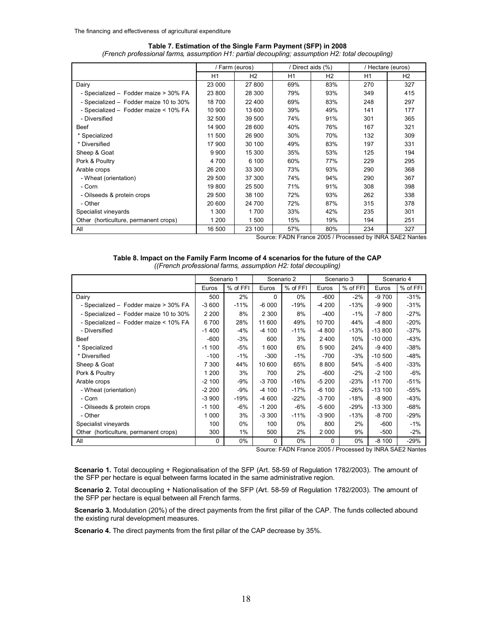|                                        | / Farm (euros) |                |     | / Direct aids (%) | / Hectare (euros) |     |  |
|----------------------------------------|----------------|----------------|-----|-------------------|-------------------|-----|--|
|                                        | H1             | H <sub>2</sub> | H1  | H <sub>2</sub>    | H1                | H2  |  |
| Dairy                                  | 23 000         | 27 800         | 69% | 83%               | 270               | 327 |  |
| - Specialized - Fodder maize > 30% FA  | 23 800         | 28 300         | 79% | 93%               | 349               | 415 |  |
| - Specialized - Fodder maize 10 to 30% | 18 700         | 22 400         | 69% | 83%               | 248               | 297 |  |
| - Specialized - Fodder maize < 10% FA  | 10 900         | 13 600         | 39% | 49%               | 141               | 177 |  |
| - Diversified                          | 32 500         | 39 500         | 74% | 91%               | 301               | 365 |  |
| Beef                                   | 14 900         | 28 600         | 40% | 76%               | 167               | 321 |  |
| * Specialized                          | 11 500         | 26 900         | 30% | 70%               | 132               | 309 |  |
| * Diversified                          | 17 900         | 30 100         | 49% | 83%               | 197               | 331 |  |
| Sheep & Goat                           | 9 9 0 0        | 15 300         | 35% | 53%               | 125               | 194 |  |
| Pork & Poultry                         | 4 700          | 6 100          | 60% | 77%               | 229               | 295 |  |
| Arable crops                           | 26 200         | 33 300         | 73% | 93%               | 290               | 368 |  |
| - Wheat (orientation)                  | 29 500         | 37 300         | 74% | 94%               | 290               | 367 |  |
| - Corn                                 | 19 800         | 25 500         | 71% | 91%               | 308               | 398 |  |
| - Oilseeds & protein crops             | 29 500         | 38 100         | 72% | 93%               | 262               | 338 |  |
| - Other                                | 20 600         | 24 700         | 72% | 87%               | 315               | 378 |  |
| Specialist vineyards                   | 1 300          | 1700           | 33% | 42%               | 235               | 301 |  |
| Other (horticulture, permanent crops)  | 1 200          | 1500           | 15% | 19%               | 194               | 251 |  |
| All                                    | 16 500         | 23 100         | 57% | 80%               | 234               | 327 |  |

## **Table 7. Estimation of the Single Farm Payment (SFP) in 2008**

*(French professional farms, assumption H1: partial decoupling; assumption H2: total decoupling)*

Source: FADN France 2005 / Processed by INRA SAE2 Nantes

| Table 8. Impact on the Family Farm Income of 4 scenarios for the future of the CAP |  |
|------------------------------------------------------------------------------------|--|
| ((French professional farms, assumption H2: total decoupling)                      |  |

|                                        | Scenario 1 |          | Scenario 2 |          | Scenario 3 |          |           | Scenario 4 |
|----------------------------------------|------------|----------|------------|----------|------------|----------|-----------|------------|
|                                        | Euros      | % of FFI | Euros      | % of FFI | Euros      | % of FFI | Euros     | % of FFI   |
| Dairy                                  | 500        | 2%       | $\Omega$   | $0\%$    | $-600$     | $-2\%$   | $-9700$   | $-31%$     |
| - Specialized - Fodder maize > 30% FA  | $-3600$    | $-11%$   | $-6000$    | $-19%$   | $-4200$    | $-13%$   | $-9900$   | $-31%$     |
| - Specialized - Fodder maize 10 to 30% | 2 2 0 0    | 8%       | 2 3 0 0    | 8%       | $-400$     | $-1%$    | $-7800$   | $-27%$     |
| - Specialized - Fodder maize < 10% FA  | 6700       | 28%      | 11 600     | 49%      | 10 700     | 44%      | $-4800$   | $-20%$     |
| - Diversified                          | $-1400$    | -4%      | $-4100$    | $-11%$   | -4 800     | $-13%$   | $-13800$  | $-37%$     |
| Beef                                   | $-600$     | -3%      | 600        | 3%       | 2400       | 10%      | $-10000$  | -43%       |
| * Specialized                          | $-1100$    | -5%      | 1 600      | 6%       | 5900       | 24%      | $-9400$   | $-38%$     |
| * Diversified                          | $-100$     | $-1%$    | $-300$     | $-1%$    | $-700$     | $-3%$    | $-10,500$ | $-48%$     |
| Sheep & Goat                           | 7 300      | 44%      | 10 600     | 65%      | 8800       | 54%      | $-5400$   | $-33%$     |
| Pork & Poultry                         | 1 200      | 3%       | 700        | 2%       | $-600$     | $-2%$    | $-2100$   | -6%        |
| Arable crops                           | $-2100$    | $-9%$    | $-3700$    | $-16%$   | $-5200$    | $-23%$   | $-11700$  | $-51%$     |
| - Wheat (orientation)                  | $-2200$    | -9%      | $-4100$    | $-17%$   | $-6100$    | $-26%$   | $-13100$  | -55%       |
| - Corn                                 | $-3900$    | $-19%$   | $-4600$    | $-22%$   | $-3700$    | $-18%$   | $-8900$   | $-43%$     |
| - Oilseeds & protein crops             | $-1100$    | $-6%$    | $-1200$    | $-6%$    | $-5600$    | $-29%$   | $-13300$  | -68%       |
| - Other                                | 1 0 0 0    | 3%       | $-3300$    | $-11%$   | $-3900$    | $-13%$   | $-8700$   | $-29%$     |
| Specialist vineyards                   | 100        | 0%       | 100        | $0\%$    | 800        | 2%       | $-600$    | $-1\%$     |
| Other (horticulture, permanent crops)  | 300        | 1%       | 500        | 2%       | 2 0 0 0    | 9%       | $-500$    | $-2\%$     |
| All                                    | 0          | $0\%$    | 0          | 0%       | 0          | $0\%$    | $-8100$   | -29%       |

Source: FADN France 2005 / Processed by INRA SAE2 Nantes

**Scenario 1.** Total decoupling + Regionalisation of the SFP (Art. 58-59 of Regulation 1782/2003). The amount of the SFP per hectare is equal between farms located in the same administrative region.

**Scenario 2.** Total decoupling + Nationalisation of the SFP (Art. 58-59 of Regulation 1782/2003). The amount of the SFP per hectare is equal between all French farms.

**Scenario 3.** Modulation (20%) of the direct payments from the first pillar of the CAP. The funds collected abound the existing rural development measures.

**Scenario 4.** The direct payments from the first pillar of the CAP decrease by 35%.